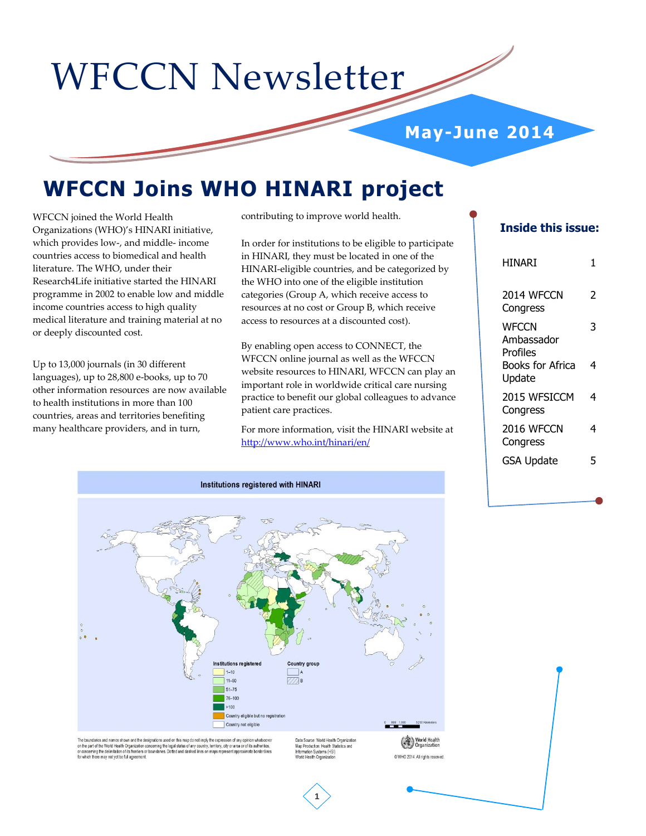# WFCCN Newsletter

# **May-June 2014**

# **WFCCN Joins WHO HINARI project**

WFCCN joined the World Health Organizations (WHO)'s HINARI initiative, which provides low-, and middle- income countries access to biomedical and health literature. The WHO, under their Research4Life initiative started the HINARI programme in 2002 to enable low and middle income countries access to high quality medical literature and training material at no or deeply discounted cost.

Up to 13,000 journals (in 30 different languages), up to 28,800 e-books, up to 70 other information resources are now available to health institutions in more than 100 countries, areas and territories benefiting many healthcare providers, and in turn,

contributing to improve world health.

In order for institutions to be eligible to participate in HINARI, they must be located in one of the HINARI-eligible countries, and be categorized by the WHO into one of the eligible institution categories (Group A, which receive access to resources at no cost or Group B, which receive access to resources at a discounted cost).

By enabling open access to CONNECT, the WFCCN online journal as well as the WFCCN website resources to HINARI, WFCCN can play an important role in worldwide critical care nursing practice to benefit our global colleagues to advance patient care practices.

For more information, visit the HINARI website at <http://www.who.int/hinari/en/>

# **Inside this issue:**

| HINARI                                 | 1 |
|----------------------------------------|---|
| 2014 WFCCN<br>Congress                 | 2 |
| <b>WFCCN</b><br>Ambassador<br>Profiles | 3 |
| Books for Africa<br>Update             | 4 |
| 2015 WESICCM<br>Congress               | 4 |
| 2016 WFCCN<br>Congress                 | 4 |
| <b>GSA Update</b>                      | 5 |



The boundaries and names shown and the designations used on this map do not imply the expression of any opinion whatsoever<br>on the part of the World Health Organization concerning the legal status of any country, territory,

Map Production: Health Stat

C WHO 2014. All rights reserved

**1**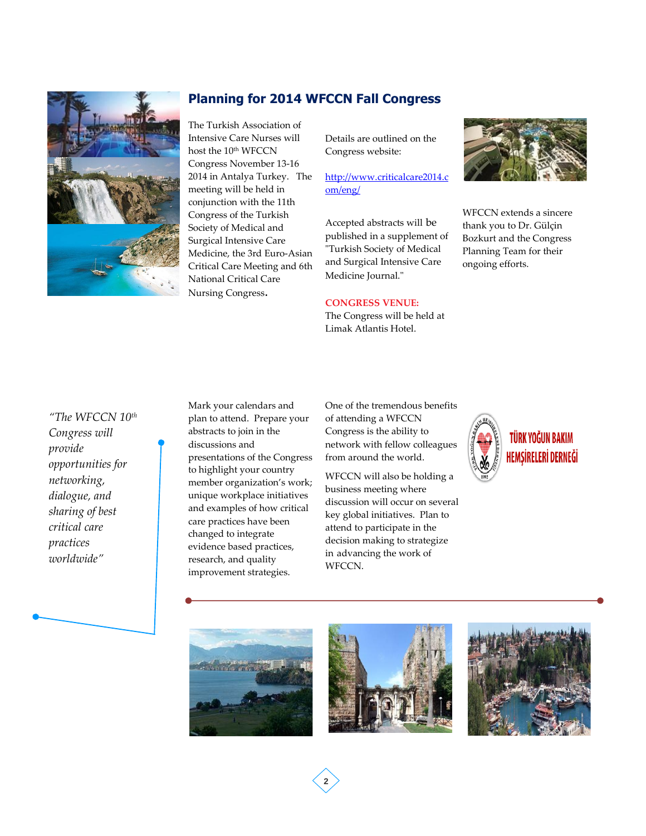

# **Planning for 2014 WFCCN Fall Congress**

The Turkish Association of Intensive Care Nurses will host the 10<sup>th</sup> WFCCN Congress November 13-16 2014 in Antalya Turkey. The meeting will be held in conjunction with the 11th Congress of the Turkish Society of Medical and Surgical Intensive Care Medicine, the 3rd Euro-Asian Critical Care Meeting and 6th National Critical Care Nursing Congress.

Details are outlined on the Congress website:

[http://www.criticalcare2014.c](http://www.criticalcare2014.com/eng/) [om/eng/](http://www.criticalcare2014.com/eng/)

Accepted abstracts will be published in a supplement of "Turkish Society of Medical and Surgical Intensive Care Medicine Iournal."

#### **CONGRESS VENUE:**

The Congress will be held at Limak Atlantis Hotel.



WFCCN extends a sincere thank you to Dr. Gülçin Bozkurt and the Congress Planning Team for their ongoing efforts.

# *"The WFCCN 10th Congress will provide opportunities for networking, dialogue, and sharing of best critical care practices worldwide"*

Mark your calendars and plan to attend. Prepare your abstracts to join in the discussions and presentations of the Congress to highlight your country member organization's work; unique workplace initiatives and examples of how critical care practices have been changed to integrate evidence based practices, research, and quality improvement strategies.

One of the tremendous benefits of attending a WFCCN Congress is the ability to network with fellow colleagues from around the world.

WFCCN will also be holding a business meeting where discussion will occur on several key global initiatives. Plan to attend to participate in the decision making to strategize in advancing the work of WFCCN.







**2**

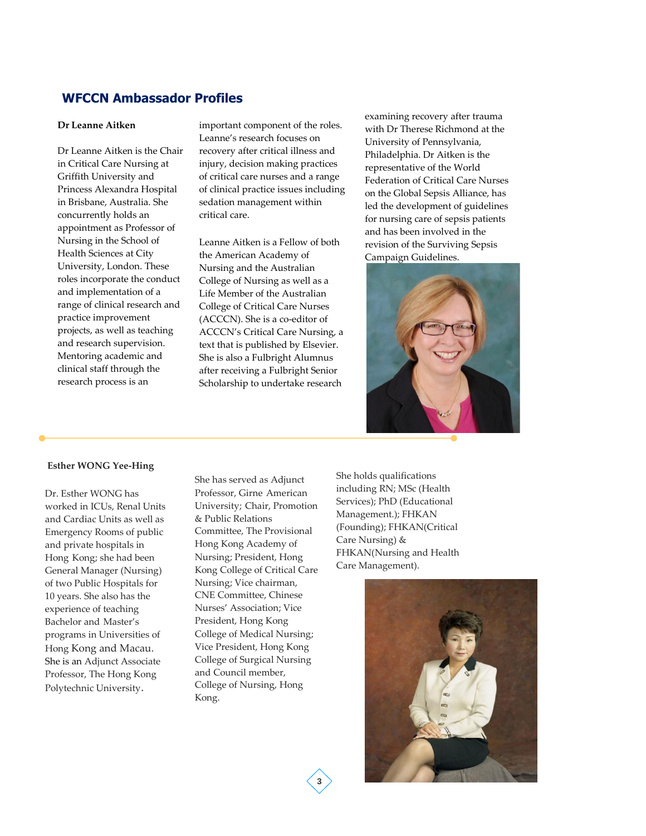## **WFCCN Ambassador Profiles**

#### **Dr Leanne Aitken**

Dr Leanne Aitken is the Chair in Critical Care Nursing at Griffith University and Princess Alexandra Hospital in Brisbane, Australia. She concurrently holds an appointment as Professor of Nursing in the School of Health Sciences at City University, London. These roles incorporate the conduct and implementation of a range of clinical research and practice improvement projects, as well as teaching and research supervision. Mentoring academic and clinical staff through the research process is an

important component of the roles. Leanne's research focuses on recovery after critical illness and injury, decision making practices of critical care nurses and a range of clinical practice issues including sedation management within critical care.

Leanne Aitken is a Fellow of both the American Academy of Nursing and the Australian College of Nursing as well as a Life Member of the Australian College of Critical Care Nurses (ACCCN). She is a co-editor of ACCCN's Critical Care Nursing, a text that is published by Elsevier. She is also a Fulbright Alumnus after receiving a Fulbright Senior Scholarship to undertake research

examining recovery after trauma with Dr Therese Richmond at the University of Pennsylvania, Philadelphia. Dr Aitken is the representative of the World Federation of Critical Care Nurses on the Global Sepsis Alliance, has led the development of guidelines for nursing care of sepsis patients and has been involved in the revision of the Surviving Sepsis Campaign Guidelines.



#### **Esther WONG Yee-Hing**

Dr. Esther WONG has worked in ICUs, Renal Units and Cardiac Units as well as Emergency Rooms of public and private hospitals in Hong Kong; she had been General Manager (Nursing) of two Public Hospitals for 10 years. She also has the experience of teaching Bachelor and Master's programs in Universities of Hong Kong and Macau. She is an Adjunct Associate Professor, The Hong Kong Polytechnic University.

She has served as Adjunct Professor, Girne American University; Chair, Promotion & Public Relations Committee, The Provisional Hong Kong Academy of Nursing; President, Hong Kong College of Critical Care Nursing; Vice chairman, CNE Committee, Chinese Nurses' Association; Vice President, Hong Kong College of Medical Nursing; Vice President, Hong Kong College of Surgical Nursing and Council member, College of Nursing, Hong Kong.

She holds qualifications including RN; MSc (Health Services); PhD (Educational Management.); FHKAN (Founding); FHKAN(Critical Care Nursing) & FHKAN(Nursing and Health Care Management).



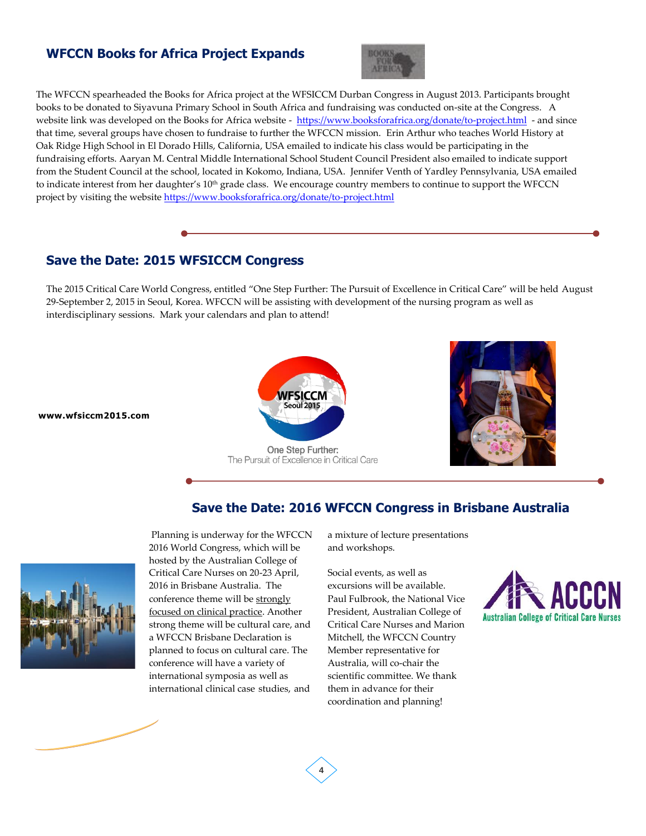# **WFCCN Books for Africa Project Expands**



The WFCCN spearheaded the Books for Africa project at the WFSICCM Durban Congress in August 2013. Participants brought books to be donated to Siyavuna Primary School in South Africa and fundraising was conducted on-site at the Congress. A website link was developed on the Books for Africa website -<https://www.booksforafrica.org/donate/to-project.html> - and since that time, several groups have chosen to fundraise to further the WFCCN mission. Erin Arthur who teaches World History at Oak Ridge High School in El Dorado Hills, California, USA emailed to indicate his class would be participating in the fundraising efforts. Aaryan M. Central Middle International School Student Council President also emailed to indicate support from the Student Council at the school, located in Kokomo, Indiana, USA. Jennifer Venth of Yardley Pennsylvania, USA emailed to indicate interest from her daughter's 10<sup>th</sup> grade class. We encourage country members to continue to support the WFCCN project by visiting the website <https://www.booksforafrica.org/donate/to-project.html>

# **Save the Date: 2015 WFSICCM Congress**

The 2015 Critical Care World Congress, entitled "One Step Further: The Pursuit of Excellence in Critical Care" will be held August 29-September 2, 2015 in Seoul, Korea. WFCCN will be assisting with development of the nursing program as well as interdisciplinary sessions. Mark your calendars and plan to attend!



**www.wfsiccm2015.com** 

One Step Further: The Pursuit of Excellence in Critical Care

**4**



### **Save the Date: 2016 WFCCN Congress in Brisbane Australia**



Planning is underway for the WFCCN 2016 World Congress, which will be hosted by the Australian College of Critical Care Nurses on 20-23 April, 2016 in Brisbane Australia. The conference theme will be strongly focused on clinical practice. Another strong theme will be cultural care, and a WFCCN Brisbane Declaration is planned to focus on cultural care. The conference will have a variety of international symposia as well as international clinical case studies, and

a mixture of lecture presentations and workshops.

Social events, as well as excursions will be available. Paul Fulbrook, the National Vice President, Australian College of Critical Care Nurses and Marion Mitchell, the WFCCN Country Member representative for Australia, will co-chair the scientific committee. We thank them in advance for their coordination and planning!